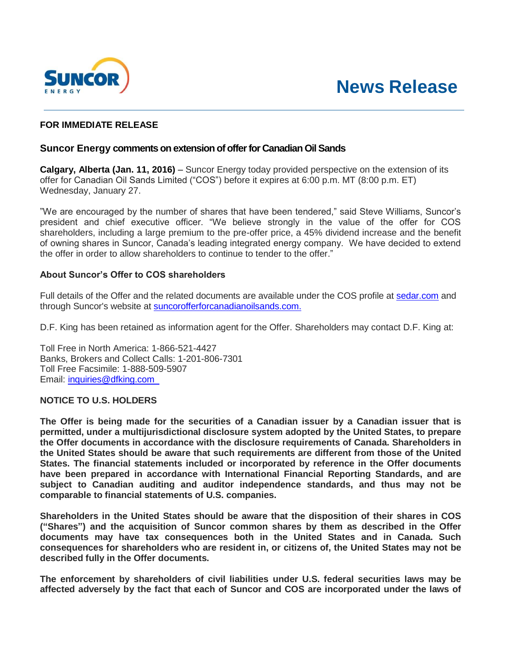



# **FOR IMMEDIATE RELEASE**

## **Suncor Energy comments on extension of offer for Canadian Oil Sands**

**Calgary, Alberta (Jan. 11, 2016)** – Suncor Energy today provided perspective on the extension of its offer for Canadian Oil Sands Limited ("COS") before it expires at 6:00 p.m. MT (8:00 p.m. ET) Wednesday, January 27.

"We are encouraged by the number of shares that have been tendered," said Steve Williams, Suncor's president and chief executive officer. "We believe strongly in the value of the offer for COS shareholders, including a large premium to the pre-offer price, a 45% dividend increase and the benefit of owning shares in Suncor, Canada's leading integrated energy company. We have decided to extend the offer in order to allow shareholders to continue to tender to the offer."

## **About Suncor's Offer to COS shareholders**

Full details of the Offer and the related documents are available under the COS profile at [sedar.com](http://www.sedar.com/) and through Suncor's website at [suncorofferforcanadianoilsands.com.](http://www.suncorofferforcanadianoilsands.com/)

D.F. King has been retained as information agent for the Offer. Shareholders may contact D.F. King at:

Toll Free in North America: 1-866-521-4427 Banks, Brokers and Collect Calls: 1-201-806-7301 Toll Free Facsimile: 1-888-509-5907 Email: [inquiries@dfking.com](mailto:inquiries@dfking.com) 

### **NOTICE TO U.S. HOLDERS**

**The Offer is being made for the securities of a Canadian issuer by a Canadian issuer that is permitted, under a multijurisdictional disclosure system adopted by the United States, to prepare the Offer documents in accordance with the disclosure requirements of Canada. Shareholders in the United States should be aware that such requirements are different from those of the United States. The financial statements included or incorporated by reference in the Offer documents have been prepared in accordance with International Financial Reporting Standards, and are subject to Canadian auditing and auditor independence standards, and thus may not be comparable to financial statements of U.S. companies.**

**Shareholders in the United States should be aware that the disposition of their shares in COS ("Shares") and the acquisition of Suncor common shares by them as described in the Offer documents may have tax consequences both in the United States and in Canada. Such consequences for shareholders who are resident in, or citizens of, the United States may not be described fully in the Offer documents.**

**The enforcement by shareholders of civil liabilities under U.S. federal securities laws may be affected adversely by the fact that each of Suncor and COS are incorporated under the laws of**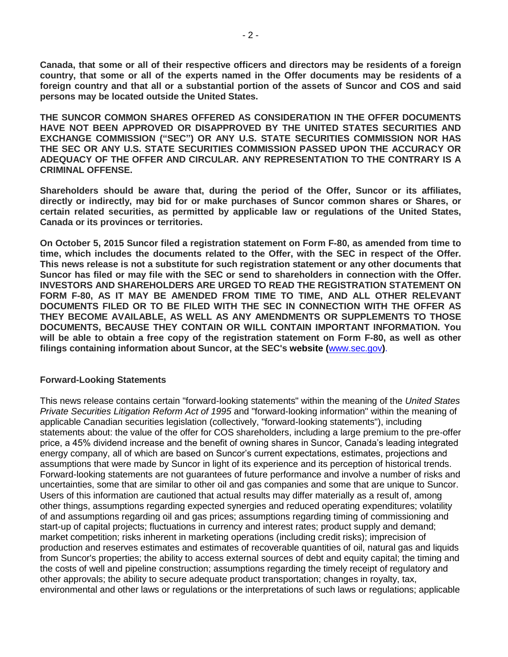**Canada, that some or all of their respective officers and directors may be residents of a foreign country, that some or all of the experts named in the Offer documents may be residents of a foreign country and that all or a substantial portion of the assets of Suncor and COS and said persons may be located outside the United States.**

**THE SUNCOR COMMON SHARES OFFERED AS CONSIDERATION IN THE OFFER DOCUMENTS HAVE NOT BEEN APPROVED OR DISAPPROVED BY THE UNITED STATES SECURITIES AND EXCHANGE COMMISSION ("SEC") OR ANY U.S. STATE SECURITIES COMMISSION NOR HAS THE SEC OR ANY U.S. STATE SECURITIES COMMISSION PASSED UPON THE ACCURACY OR ADEQUACY OF THE OFFER AND CIRCULAR. ANY REPRESENTATION TO THE CONTRARY IS A CRIMINAL OFFENSE.**

**Shareholders should be aware that, during the period of the Offer, Suncor or its affiliates, directly or indirectly, may bid for or make purchases of Suncor common shares or Shares, or certain related securities, as permitted by applicable law or regulations of the United States, Canada or its provinces or territories.**

**On October 5, 2015 Suncor filed a registration statement on Form F-80, as amended from time to time, which includes the documents related to the Offer, with the SEC in respect of the Offer. This news release is not a substitute for such registration statement or any other documents that Suncor has filed or may file with the SEC or send to shareholders in connection with the Offer. INVESTORS AND SHAREHOLDERS ARE URGED TO READ THE REGISTRATION STATEMENT ON FORM F-80, AS IT MAY BE AMENDED FROM TIME TO TIME, AND ALL OTHER RELEVANT DOCUMENTS FILED OR TO BE FILED WITH THE SEC IN CONNECTION WITH THE OFFER AS THEY BECOME AVAILABLE, AS WELL AS ANY AMENDMENTS OR SUPPLEMENTS TO THOSE DOCUMENTS, BECAUSE THEY CONTAIN OR WILL CONTAIN IMPORTANT INFORMATION. You will be able to obtain a free copy of the registration statement on Form F-80, as well as other filings containing information about Suncor, at the SEC's website (**[www.sec.gov](http://www.sec.gov/)**)**.

### **Forward-Looking Statements**

This news release contains certain "forward-looking statements" within the meaning of the *United States Private Securities Litigation Reform Act of 1995* and "forward-looking information" within the meaning of applicable Canadian securities legislation (collectively, "forward-looking statements"), including statements about: the value of the offer for COS shareholders, including a large premium to the pre-offer price, a 45% dividend increase and the benefit of owning shares in Suncor, Canada's leading integrated energy company, all of which are based on Suncor's current expectations, estimates, projections and assumptions that were made by Suncor in light of its experience and its perception of historical trends. Forward-looking statements are not guarantees of future performance and involve a number of risks and uncertainties, some that are similar to other oil and gas companies and some that are unique to Suncor. Users of this information are cautioned that actual results may differ materially as a result of, among other things, assumptions regarding expected synergies and reduced operating expenditures; volatility of and assumptions regarding oil and gas prices; assumptions regarding timing of commissioning and start-up of capital projects; fluctuations in currency and interest rates; product supply and demand; market competition; risks inherent in marketing operations (including credit risks); imprecision of production and reserves estimates and estimates of recoverable quantities of oil, natural gas and liquids from Suncor's properties; the ability to access external sources of debt and equity capital; the timing and the costs of well and pipeline construction; assumptions regarding the timely receipt of regulatory and other approvals; the ability to secure adequate product transportation; changes in royalty, tax, environmental and other laws or regulations or the interpretations of such laws or regulations; applicable